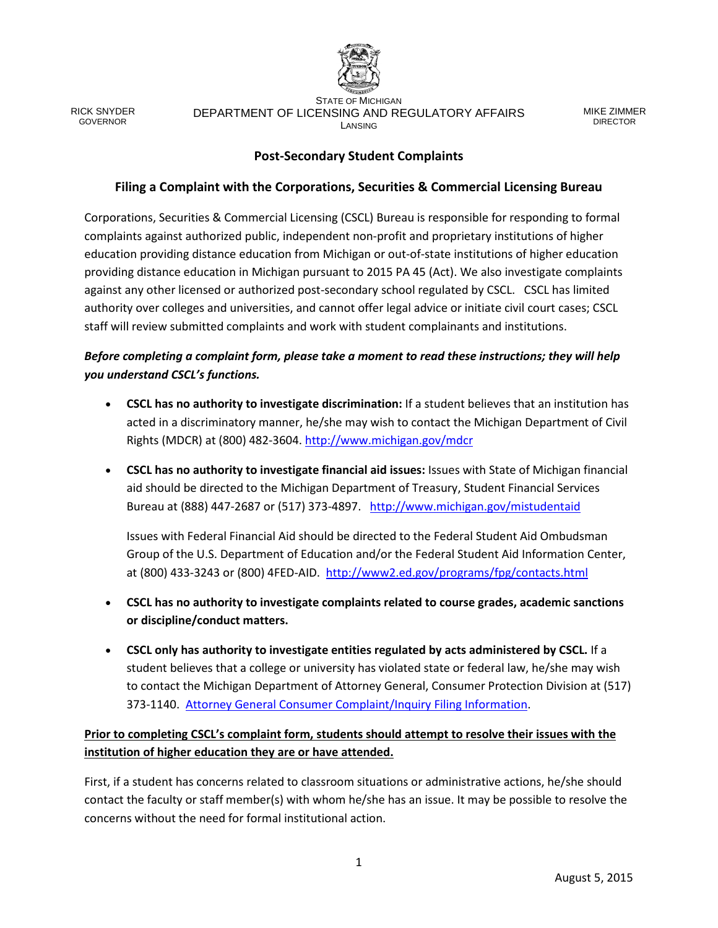

RICK SNYDER GOVERNOR

STATE OF MICHIGAN DEPARTMENT OF LICENSING AND REGULATORY AFFAIRS LANSING

MIKE ZIMMER DIRECTOR

### **Post-Secondary Student Complaints**

### **Filing a Complaint with the Corporations, Securities & Commercial Licensing Bureau**

Corporations, Securities & Commercial Licensing (CSCL) Bureau is responsible for responding to formal complaints against authorized public, independent non-profit and proprietary institutions of higher education providing distance education from Michigan or out-of-state institutions of higher education providing distance education in Michigan pursuant to 2015 PA 45 (Act). We also investigate complaints against any other licensed or authorized post-secondary school regulated by CSCL. CSCL has limited authority over colleges and universities, and cannot offer legal advice or initiate civil court cases; CSCL staff will review submitted complaints and work with student complainants and institutions.

## *Before completing a complaint form, please take a moment to read these instructions; they will help you understand CSCL's functions.*

- **CSCL has no authority to investigate discrimination:** If a student believes that an institution has acted in a discriminatory manner, he/she may wish to contact the Michigan Department of Civil Rights (MDCR) at (800) 482-3604.<http://www.michigan.gov/mdcr>
- **CSCL has no authority to investigate financial aid issues:** Issues with State of Michigan financial aid should be directed to the Michigan Department of Treasury, Student Financial Services Bureau at (888) 447-2687 or (517) 373-4897. <http://www.michigan.gov/mistudentaid>

Issues with Federal Financial Aid should be directed to the Federal Student Aid Ombudsman Group of the U.S. Department of Education and/or the Federal Student Aid Information Center, at (800) 433-3243 or (800) 4FED-AID. <http://www2.ed.gov/programs/fpg/contacts.html>

- **CSCL has no authority to investigate complaints related to course grades, academic sanctions or discipline/conduct matters.**
- **CSCL only has authority to investigate entities regulated by acts administered by CSCL.** If a student believes that a college or university has violated state or federal law, he/she may wish to contact the Michigan Department of Attorney General, Consumer Protection Division at (517) 373-1140. [Attorney General Consumer Complaint/Inquiry Filing Information.](http://www.michigan.gov/ag/0,4534,7-164-17331---,00.html)

# **Prior to completing CSCL's complaint form, students should attempt to resolve their issues with the institution of higher education they are or have attended.**

First, if a student has concerns related to classroom situations or administrative actions, he/she should contact the faculty or staff member(s) with whom he/she has an issue. It may be possible to resolve the concerns without the need for formal institutional action.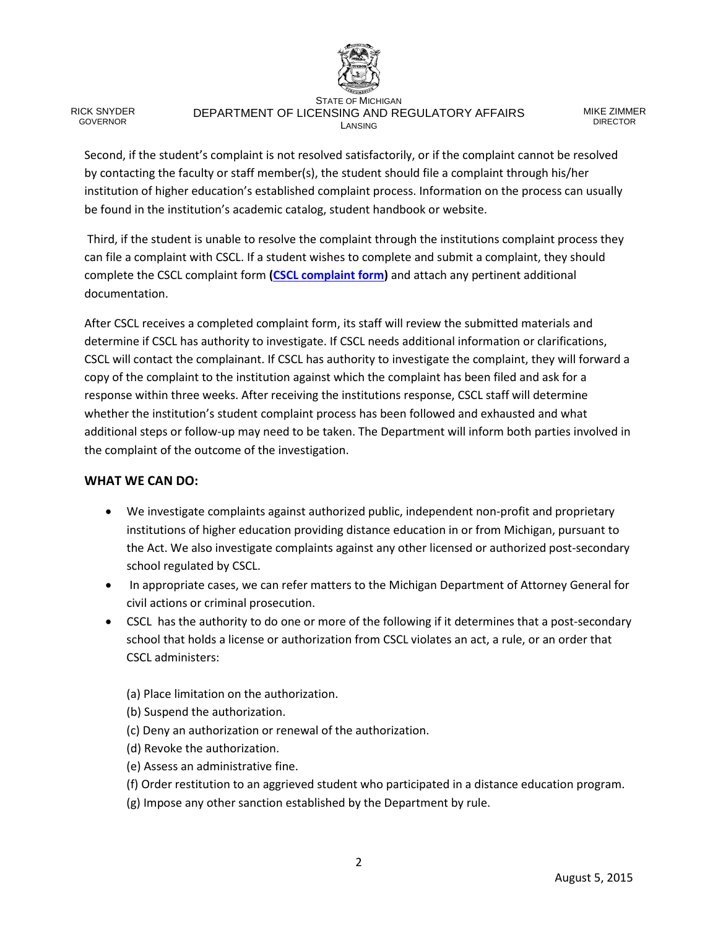

RICK SNYDER **GOVERNOR** 

#### STATE OF MICHIGAN DEPARTMENT OF LICENSING AND REGULATORY AFFAIRS LANSING

MIKE ZIMMER DIRECTOR

Second, if the student's complaint is not resolved satisfactorily, or if the complaint cannot be resolved by contacting the faculty or staff member(s), the student should file a complaint through his/her institution of higher education's established complaint process. Information on the process can usually be found in the institution's academic catalog, student handbook or website.

Third, if the student is unable to resolve the complaint through the institutions complaint process they can file a complaint with CSCL. If a student wishes to complete and submit a complaint, they should complete the CSCL complaint form **[\(CSCL complaint form\)](http://www.michigan.gov/documents/lara/LCE-992_0715_494884_7.pdf?20150901092906)** and attach any pertinent additional documentation.

After CSCL receives a completed complaint form, its staff will review the submitted materials and determine if CSCL has authority to investigate. If CSCL needs additional information or clarifications, CSCL will contact the complainant. If CSCL has authority to investigate the complaint, they will forward a copy of the complaint to the institution against which the complaint has been filed and ask for a response within three weeks. After receiving the institutions response, CSCL staff will determine whether the institution's student complaint process has been followed and exhausted and what additional steps or follow-up may need to be taken. The Department will inform both parties involved in the complaint of the outcome of the investigation.

#### **WHAT WE CAN DO:**

- We investigate complaints against authorized public, independent non-profit and proprietary institutions of higher education providing distance education in or from Michigan, pursuant to the Act. We also investigate complaints against any other licensed or authorized post-secondary school regulated by CSCL.
- In appropriate cases, we can refer matters to the Michigan Department of Attorney General for civil actions or criminal prosecution.
- CSCL has the authority to do one or more of the following if it determines that a post-secondary school that holds a license or authorization from CSCL violates an act, a rule, or an order that CSCL administers:

(a) Place limitation on the authorization.

- (b) Suspend the authorization.
- (c) Deny an authorization or renewal of the authorization.
- (d) Revoke the authorization.
- (e) Assess an administrative fine.
- (f) Order restitution to an aggrieved student who participated in a distance education program.
- (g) Impose any other sanction established by the Department by rule.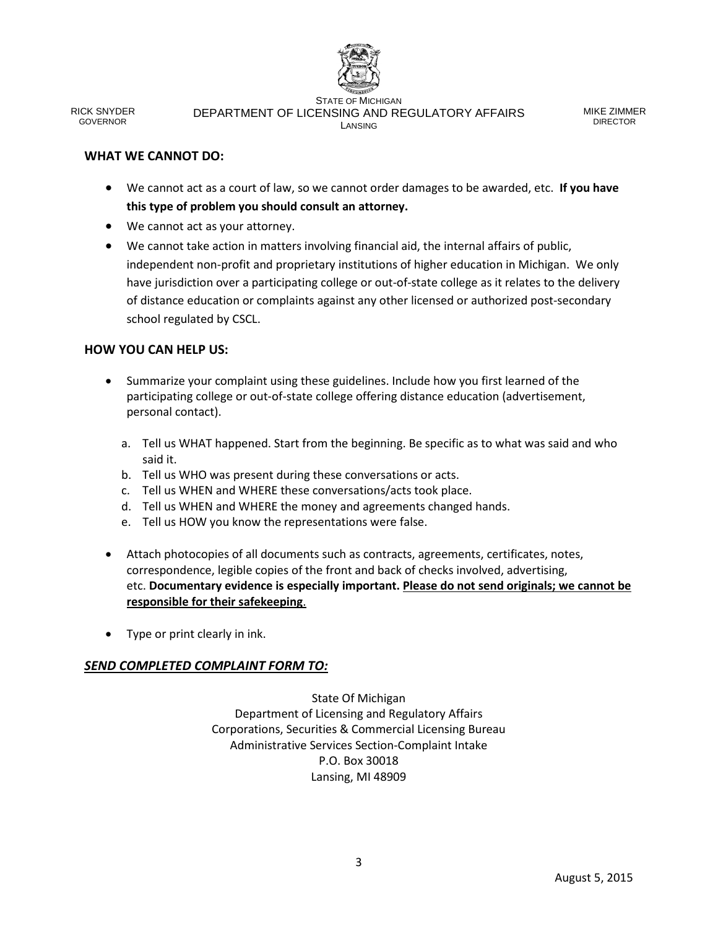

RICK SNYDER GOVERNOR

STATE OF MICHIGAN DEPARTMENT OF LICENSING AND REGULATORY AFFAIRS LANSING

MIKE ZIMMER DIRECTOR

#### **WHAT WE CANNOT DO:**

- We cannot act as a court of law, so we cannot order damages to be awarded, etc. **If you have this type of problem you should consult an attorney.**
- We cannot act as your attorney.
- We cannot take action in matters involving financial aid, the internal affairs of public, independent non-profit and proprietary institutions of higher education in Michigan. We only have jurisdiction over a participating college or out-of-state college as it relates to the delivery of distance education or complaints against any other licensed or authorized post-secondary school regulated by CSCL.

#### **HOW YOU CAN HELP US:**

- Summarize your complaint using these guidelines. Include how you first learned of the participating college or out-of-state college offering distance education (advertisement, personal contact).
	- a. Tell us WHAT happened. Start from the beginning. Be specific as to what was said and who said it.
	- b. Tell us WHO was present during these conversations or acts.
	- c. Tell us WHEN and WHERE these conversations/acts took place.
	- d. Tell us WHEN and WHERE the money and agreements changed hands.
	- e. Tell us HOW you know the representations were false.
- Attach photocopies of all documents such as contracts, agreements, certificates, notes, correspondence, legible copies of the front and back of checks involved, advertising, etc. **Documentary evidence is especially important. Please do not send originals; we cannot be responsible for their safekeeping**.
- Type or print clearly in ink.

#### *SEND COMPLETED COMPLAINT FORM TO:*

State Of Michigan Department of Licensing and Regulatory Affairs Corporations, Securities & Commercial Licensing Bureau Administrative Services Section-Complaint Intake P.O. Box 30018 Lansing, MI 48909